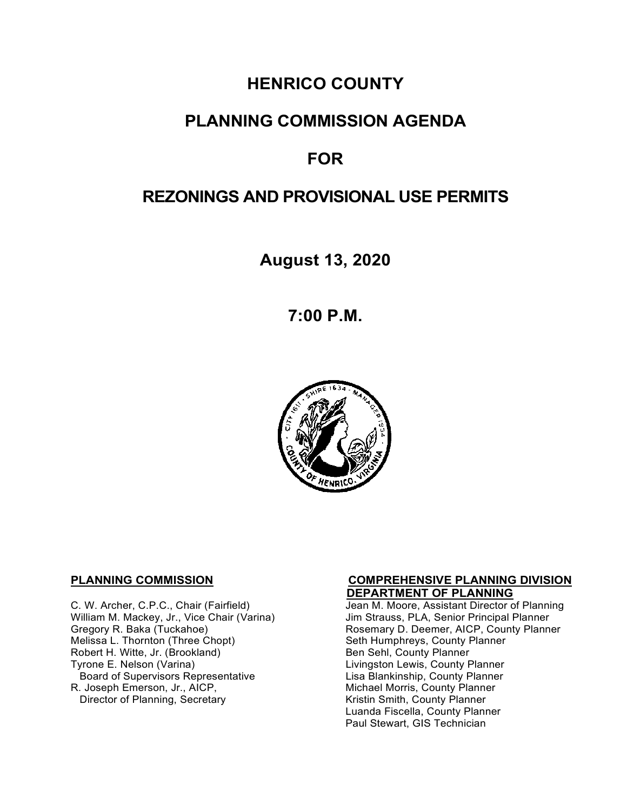# **HENRICO COUNTY**

### **PLANNING COMMISSION AGENDA**

## **FOR**

### **REZONINGS AND PROVISIONAL USE PERMITS**

**August 13, 2020**

**7:00 P.M.**



 **DEPARTMENT OF PLANNING**  William M. Mackey, Jr., Vice Chair (Varina)<br>Gregory R. Baka (Tuckahoe) Robert H. Witte, Jr. (Brookland)<br>Tyrone E. Nelson (Varina) Board of Supervisors Representative<br>R. Joseph Emerson, Jr., AICP, Director of Planning, Secretary

# **PLANNING COMMISSION COMPREHENSIVE PLANNING DIVISION**

Jean M. Moore, Assistant Director of Planning<br>Jim Strauss, PLA, Senior Principal Planner Gregory R. Baka (Tuckahoe) Rosemary D. Deemer, AICP, County Planner<br>Melissa L. Thornton (Three Chopt) Research Seth Humphreys, County Planner Seth Humphreys, County Planner<br>Ben Sehl, County Planner Livingston Lewis, County Planner<br>Lisa Blankinship, County Planner Michael Morris, County Planner<br>Kristin Smith, County Planner Luanda Fiscella, County Planner Paul Stewart, GIS Technician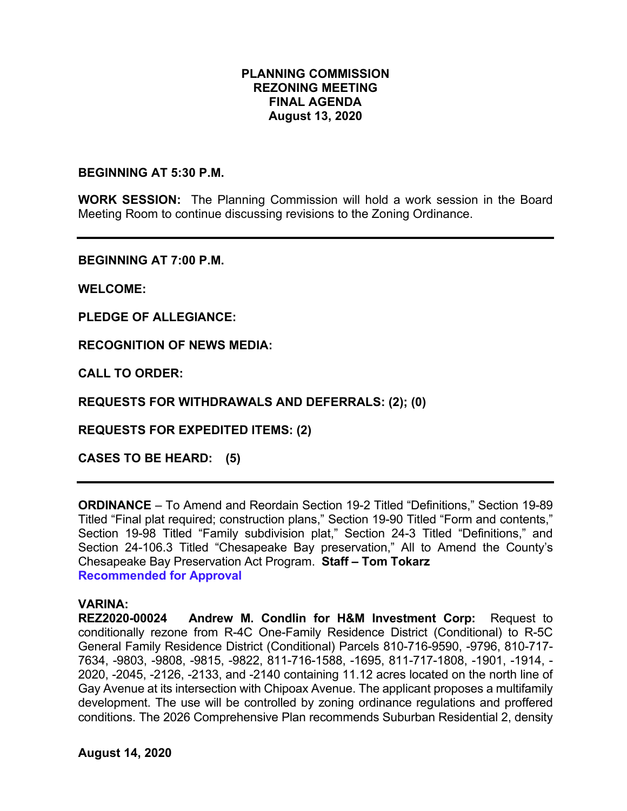### **PLANNING COMMISSION REZONING MEETING FINAL AGENDA August 13, 2020**

**BEGINNING AT 5:30 P.M.**

**WORK SESSION:** The Planning Commission will hold a work session in the Board Meeting Room to continue discussing revisions to the Zoning Ordinance.

**BEGINNING AT 7:00 P.M.**

**WELCOME:**

**PLEDGE OF ALLEGIANCE:**

**RECOGNITION OF NEWS MEDIA:**

**CALL TO ORDER:**

**REQUESTS FOR WITHDRAWALS AND DEFERRALS: (2); (0)**

**REQUESTS FOR EXPEDITED ITEMS: (2)**

**CASES TO BE HEARD: (5)**

**ORDINANCE** – To Amend and Reordain Section 19-2 Titled "Definitions," Section 19-89 Titled "Final plat required; construction plans," Section 19-90 Titled "Form and contents," Section 19-98 Titled "Family subdivision plat," Section 24-3 Titled "Definitions," and Section 24-106.3 Titled "Chesapeake Bay preservation," All to Amend the County's Chesapeake Bay Preservation Act Program. **Staff – Tom Tokarz Recommended for Approval**

#### **VARINA:**

**REZ2020-00024 Andrew M. Condlin for H&M Investment Corp:** Request to conditionally rezone from R-4C One-Family Residence District (Conditional) to R-5C General Family Residence District (Conditional) Parcels 810-716-9590, -9796, 810-717- 7634, -9803, -9808, -9815, -9822, 811-716-1588, -1695, 811-717-1808, -1901, -1914, - 2020, -2045, -2126, -2133, and -2140 containing 11.12 acres located on the north line of Gay Avenue at its intersection with Chipoax Avenue. The applicant proposes a multifamily development. The use will be controlled by zoning ordinance regulations and proffered conditions. The 2026 Comprehensive Plan recommends Suburban Residential 2, density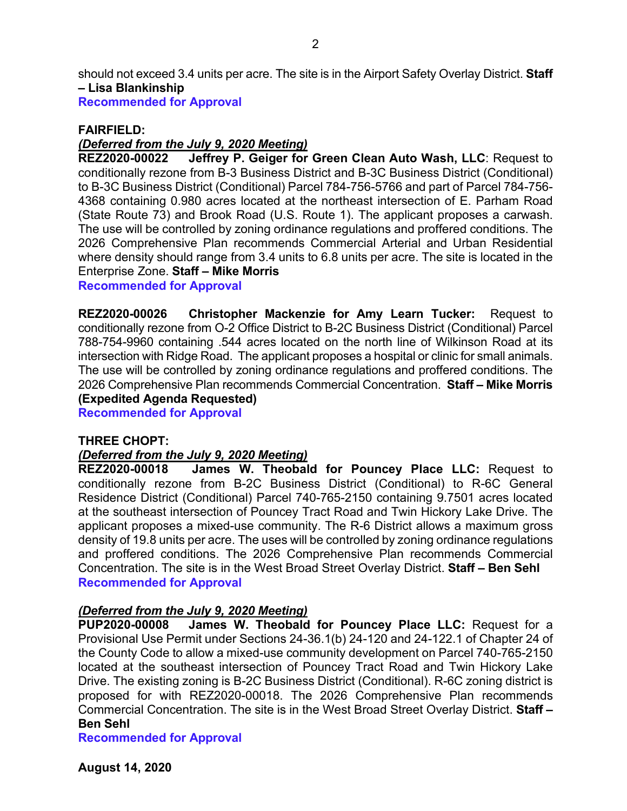should not exceed 3.4 units per acre. The site is in the Airport Safety Overlay District. **Staff – Lisa Blankinship**

**Recommended for Approval**

### **FAIRFIELD:**

#### *(Deferred from the July 9, 2020 Meeting)*

**REZ2020-00022 Jeffrey P. Geiger for Green Clean Auto Wash, LLC**: Request to conditionally rezone from B-3 Business District and B-3C Business District (Conditional) to B-3C Business District (Conditional) Parcel 784-756-5766 and part of Parcel 784-756- 4368 containing 0.980 acres located at the northeast intersection of E. Parham Road (State Route 73) and Brook Road (U.S. Route 1). The applicant proposes a carwash. The use will be controlled by zoning ordinance regulations and proffered conditions. The 2026 Comprehensive Plan recommends Commercial Arterial and Urban Residential where density should range from 3.4 units to 6.8 units per acre. The site is located in the Enterprise Zone. **Staff – Mike Morris**

**Recommended for Approval**

**REZ2020-00026 Christopher Mackenzie for Amy Learn Tucker:** Request to conditionally rezone from O-2 Office District to B-2C Business District (Conditional) Parcel 788-754-9960 containing .544 acres located on the north line of Wilkinson Road at its intersection with Ridge Road. The applicant proposes a hospital or clinic for small animals. The use will be controlled by zoning ordinance regulations and proffered conditions. The 2026 Comprehensive Plan recommends Commercial Concentration. **Staff – Mike Morris (Expedited Agenda Requested)**

**Recommended for Approval**

#### **THREE CHOPT:**

### *(Deferred from the July 9, 2020 Meeting)*

**REZ2020-00018 James W. Theobald for Pouncey Place LLC:** Request to conditionally rezone from B-2C Business District (Conditional) to R-6C General Residence District (Conditional) Parcel 740-765-2150 containing 9.7501 acres located at the southeast intersection of Pouncey Tract Road and Twin Hickory Lake Drive. The applicant proposes a mixed-use community. The R-6 District allows a maximum gross density of 19.8 units per acre. The uses will be controlled by zoning ordinance regulations and proffered conditions. The 2026 Comprehensive Plan recommends Commercial Concentration. The site is in the West Broad Street Overlay District. **Staff – Ben Sehl Recommended for Approval**

#### *(Deferred from the July 9, 2020 Meeting)*

**PUP2020-00008 James W. Theobald for Pouncey Place LLC:** Request for a Provisional Use Permit under Sections 24-36.1(b) 24-120 and 24-122.1 of Chapter 24 of the County Code to allow a mixed-use community development on Parcel 740-765-2150 located at the southeast intersection of Pouncey Tract Road and Twin Hickory Lake Drive. The existing zoning is B-2C Business District (Conditional). R-6C zoning district is proposed for with REZ2020-00018. The 2026 Comprehensive Plan recommends Commercial Concentration. The site is in the West Broad Street Overlay District. **Staff – Ben Sehl**

**Recommended for Approval**

**August 14, 2020**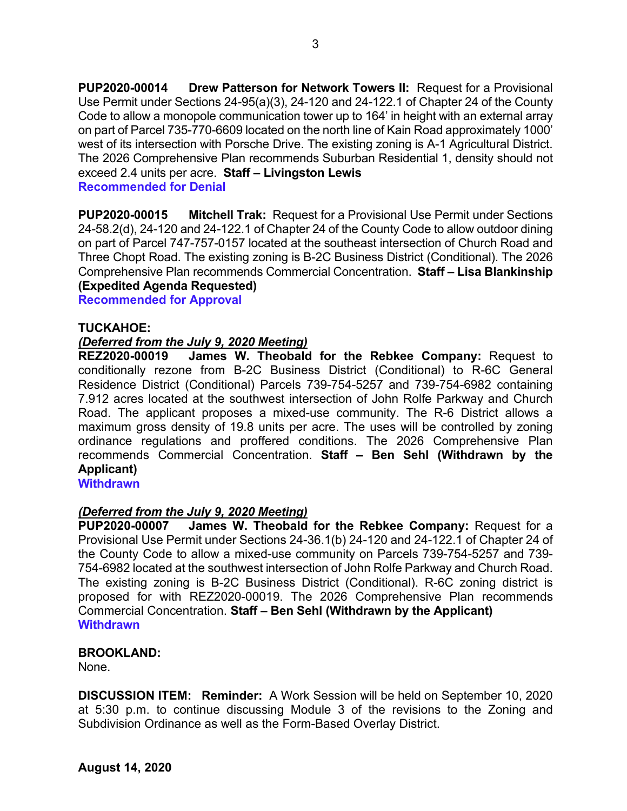**PUP2020-00014 Drew Patterson for Network Towers II:** Request for a Provisional Use Permit under Sections 24-95(a)(3), 24-120 and 24-122.1 of Chapter 24 of the County Code to allow a monopole communication tower up to 164' in height with an external array on part of Parcel 735-770-6609 located on the north line of Kain Road approximately 1000' west of its intersection with Porsche Drive. The existing zoning is A-1 Agricultural District. The 2026 Comprehensive Plan recommends Suburban Residential 1, density should not exceed 2.4 units per acre. **Staff – Livingston Lewis**

**Recommended for Denial**

**PUP2020-00015 Mitchell Trak:** Request for a Provisional Use Permit under Sections 24-58.2(d), 24-120 and 24-122.1 of Chapter 24 of the County Code to allow outdoor dining on part of Parcel 747-757-0157 located at the southeast intersection of Church Road and Three Chopt Road. The existing zoning is B-2C Business District (Conditional). The 2026 Comprehensive Plan recommends Commercial Concentration. **Staff – Lisa Blankinship (Expedited Agenda Requested)**

**Recommended for Approval**

#### **TUCKAHOE:**

# *(Deferred from the July 9, 2020 Meeting)*

James W. Theobald for the Rebkee Company: Request to conditionally rezone from B-2C Business District (Conditional) to R-6C General Residence District (Conditional) Parcels 739-754-5257 and 739-754-6982 containing 7.912 acres located at the southwest intersection of John Rolfe Parkway and Church Road. The applicant proposes a mixed-use community. The R-6 District allows a maximum gross density of 19.8 units per acre. The uses will be controlled by zoning ordinance regulations and proffered conditions. The 2026 Comprehensive Plan recommends Commercial Concentration. **Staff – Ben Sehl (Withdrawn by the Applicant)**

**Withdrawn**

# *(Deferred from the July 9, 2020 Meeting)*

**James W. Theobald for the Rebkee Company: Request for a** Provisional Use Permit under Sections 24-36.1(b) 24-120 and 24-122.1 of Chapter 24 of the County Code to allow a mixed-use community on Parcels 739-754-5257 and 739- 754-6982 located at the southwest intersection of John Rolfe Parkway and Church Road. The existing zoning is B-2C Business District (Conditional). R-6C zoning district is proposed for with REZ2020-00019. The 2026 Comprehensive Plan recommends Commercial Concentration. **Staff – Ben Sehl (Withdrawn by the Applicant) Withdrawn**

#### **BROOKLAND:**

None.

**DISCUSSION ITEM: Reminder:** A Work Session will be held on September 10, 2020 at 5:30 p.m. to continue discussing Module 3 of the revisions to the Zoning and Subdivision Ordinance as well as the Form-Based Overlay District.